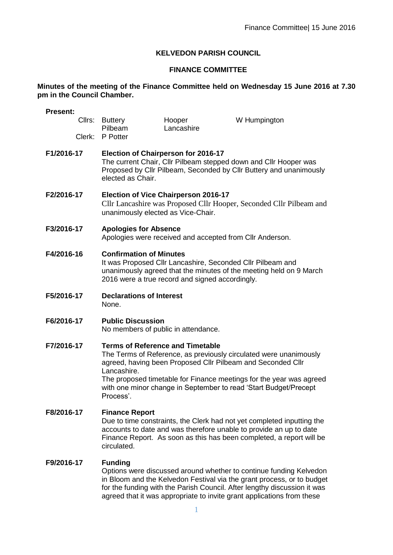# **KELVEDON PARISH COUNCIL**

# **FINANCE COMMITTEE**

### **Minutes of the meeting of the Finance Committee held on Wednesday 15 June 2016 at 7.30 pm in the Council Chamber.**

| <b>Present:</b> |                                                                                                                                                                                                                                                                                                                                                    |                      |              |
|-----------------|----------------------------------------------------------------------------------------------------------------------------------------------------------------------------------------------------------------------------------------------------------------------------------------------------------------------------------------------------|----------------------|--------------|
| Cllrs:          | <b>Buttery</b><br>Pilbeam                                                                                                                                                                                                                                                                                                                          | Hooper<br>Lancashire | W Humpington |
| Clerk:          | P Potter                                                                                                                                                                                                                                                                                                                                           |                      |              |
| F1/2016-17      | <b>Election of Chairperson for 2016-17</b><br>The current Chair, Cllr Pilbeam stepped down and Cllr Hooper was<br>Proposed by Cllr Pilbeam, Seconded by Cllr Buttery and unanimously<br>elected as Chair.                                                                                                                                          |                      |              |
| F2/2016-17      | <b>Election of Vice Chairperson 2016-17</b><br>Cllr Lancashire was Proposed Cllr Hooper, Seconded Cllr Pilbeam and<br>unanimously elected as Vice-Chair.                                                                                                                                                                                           |                      |              |
| F3/2016-17      | <b>Apologies for Absence</b><br>Apologies were received and accepted from Cllr Anderson.                                                                                                                                                                                                                                                           |                      |              |
| F4/2016-16      | <b>Confirmation of Minutes</b><br>It was Proposed Cllr Lancashire, Seconded Cllr Pilbeam and<br>unanimously agreed that the minutes of the meeting held on 9 March<br>2016 were a true record and signed accordingly.                                                                                                                              |                      |              |
| F5/2016-17      | <b>Declarations of Interest</b><br>None.                                                                                                                                                                                                                                                                                                           |                      |              |
| F6/2016-17      | <b>Public Discussion</b><br>No members of public in attendance.                                                                                                                                                                                                                                                                                    |                      |              |
| F7/2016-17      | <b>Terms of Reference and Timetable</b><br>The Terms of Reference, as previously circulated were unanimously<br>agreed, having been Proposed Cllr Pilbeam and Seconded Cllr<br>Lancashire.<br>The proposed timetable for Finance meetings for the year was agreed<br>with one minor change in September to read 'Start Budget/Precept<br>Process'. |                      |              |
| F8/2016-17      | <b>Finance Report</b><br>Due to time constraints, the Clerk had not yet completed inputting the<br>accounts to date and was therefore unable to provide an up to date<br>Finance Report. As soon as this has been completed, a report will be<br>circulated.                                                                                       |                      |              |
| F9/2016-17      | <b>Funding</b><br>Options were discussed around whether to continue funding Kelvedon                                                                                                                                                                                                                                                               |                      |              |

in Bloom and the Kelvedon Festival via the grant process, or to budget for the funding with the Parish Council. After lengthy discussion it was agreed that it was appropriate to invite grant applications from these